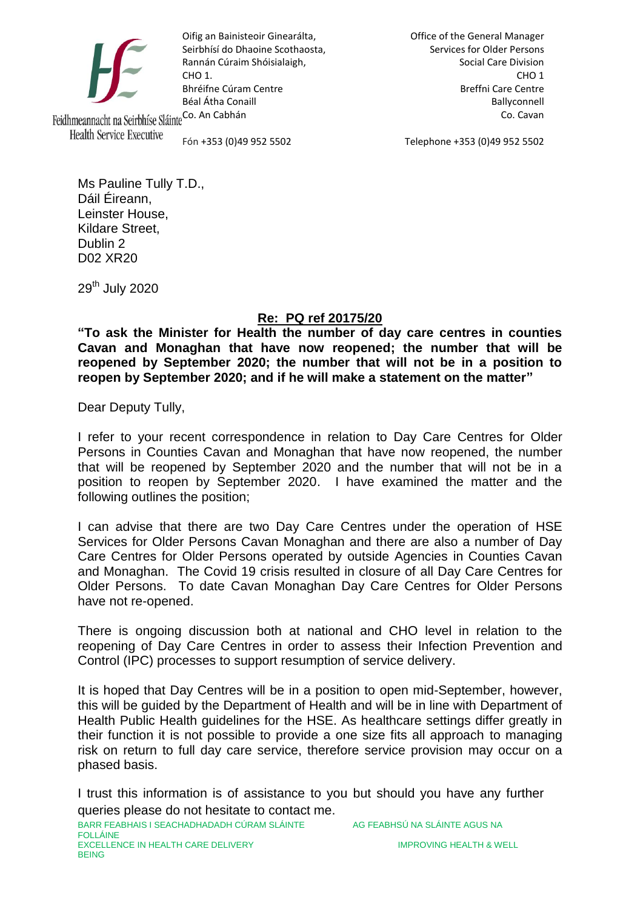

Oifig an Bainisteoir Ginearálta, Seirbhísí do Dhaoine Scothaosta, Rannán Cúraim Shóisialaigh, CHO 1. Bhréifne Cúram Centre Béal Átha Conaill Feidhmeannacht na Seirbhíse SláinteCo. An Cabhán

Office of the General Manager Services for Older Persons Social Care Division CHO 1 Breffni Care Centre Ballyconnell Co. Cavan

**Health Service Executive** 

Fón +353 (0)49 952 5502

Telephone +353 (0)49 952 5502

Ms Pauline Tully T.D., Dáil Éireann, Leinster House, Kildare Street, Dublin 2 D02 XR20

29th July 2020

## **Re: PQ ref 20175/20**

**"To ask the Minister for Health the number of day care centres in counties Cavan and Monaghan that have now reopened; the number that will be reopened by September 2020; the number that will not be in a position to reopen by September 2020; and if he will make a statement on the matter"**

Dear Deputy Tully,

I refer to your recent correspondence in relation to Day Care Centres for Older Persons in Counties Cavan and Monaghan that have now reopened, the number that will be reopened by September 2020 and the number that will not be in a position to reopen by September 2020. I have examined the matter and the following outlines the position;

I can advise that there are two Day Care Centres under the operation of HSE Services for Older Persons Cavan Monaghan and there are also a number of Day Care Centres for Older Persons operated by outside Agencies in Counties Cavan and Monaghan. The Covid 19 crisis resulted in closure of all Day Care Centres for Older Persons. To date Cavan Monaghan Day Care Centres for Older Persons have not re-opened.

There is ongoing discussion both at national and CHO level in relation to the reopening of Day Care Centres in order to assess their Infection Prevention and Control (IPC) processes to support resumption of service delivery.

It is hoped that Day Centres will be in a position to open mid-September, however, this will be guided by the Department of Health and will be in line with Department of Health Public Health guidelines for the HSE. As healthcare settings differ greatly in their function it is not possible to provide a one size fits all approach to managing risk on return to full day care service, therefore service provision may occur on a phased basis.

I trust this information is of assistance to you but should you have any further queries please do not hesitate to contact me.